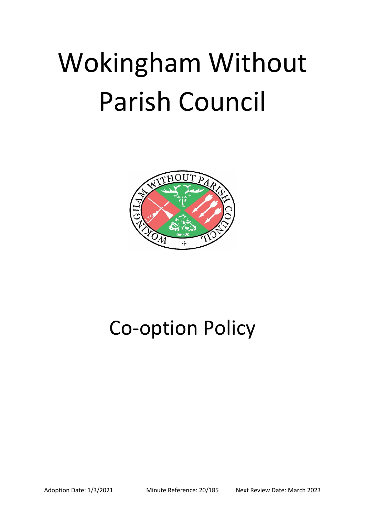## Wokingham Without Parish Council



## Co-option Policy